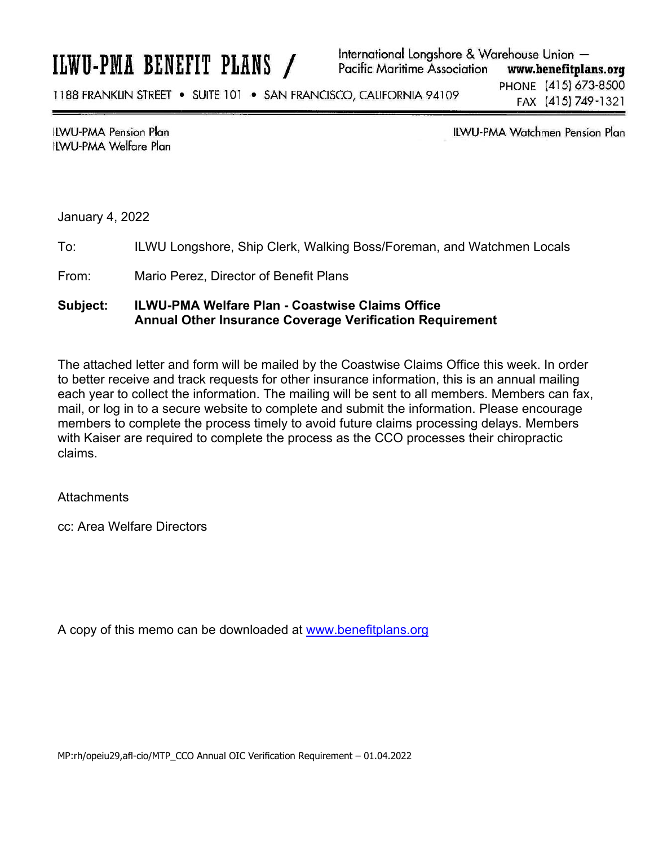# ILWU-PMA BENEFIT PLANS /

International Longshore & Warehouse Union -**Pacific Maritime Association** www.benefitplans.org

1188 FRANKLIN STREET . SUITE 101 . SAN FRANCISCO, CALIFORNIA 94109

PHONE (415) 673-8500 FAX (415) 749-1321

**ILWU-PMA Pension Plan ILWU-PMA Welfare Plan**  **ILWU-PMA Watchmen Pension Plan** 

January 4, 2022

To: ILWU Longshore, Ship Clerk, Walking Boss/Foreman, and Watchmen Locals

From: Mario Perez, Director of Benefit Plans

### **Subject: ILWU-PMA Welfare Plan - Coastwise Claims Office Annual Other Insurance Coverage Verification Requirement**

The attached letter and form will be mailed by the Coastwise Claims Office this week. In order to better receive and track requests for other insurance information, this is an annual mailing each year to collect the information. The mailing will be sent to all members. Members can fax, mail, or log in to a secure website to complete and submit the information. Please encourage members to complete the process timely to avoid future claims processing delays. Members with Kaiser are required to complete the process as the CCO processes their chiropractic claims.

**Attachments** 

cc: Area Welfare Directors

A copy of this memo can be downloaded at www.benefitplans.org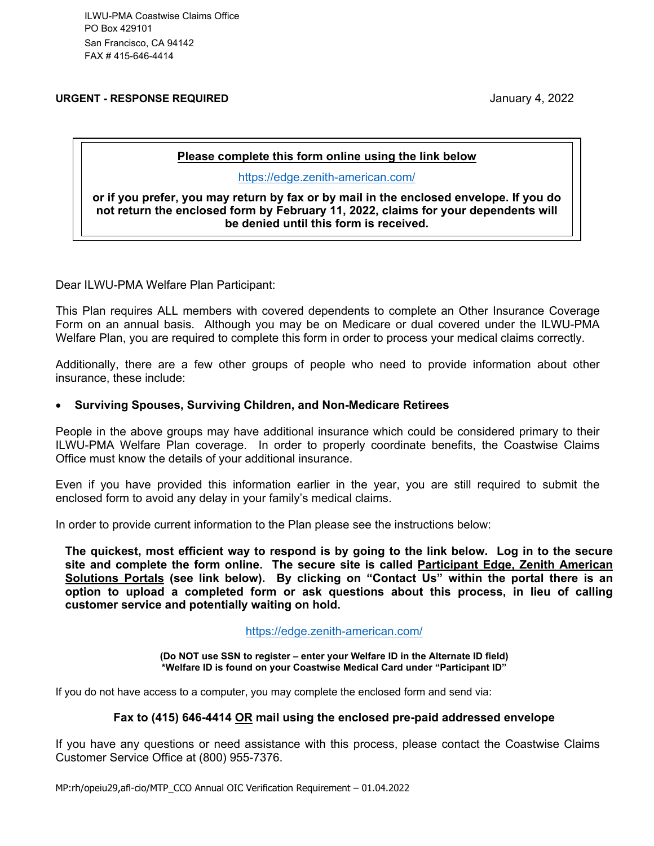ILWU-PMA Coastwise Claims Office PO Box 429101 San Francisco, CA 94142 FAX # 415-646-4414

**URGENT - RESPONSE REQUIRED** January 4, 2022

#### **Please complete this form online using the link below**

https://edge.zenith-american.com/

**or if you prefer, you may return by fax or by mail in the enclosed envelope. If you do not return the enclosed form by February 11, 2022, claims for your dependents will be denied until this form is received.** 

Dear ILWU-PMA Welfare Plan Participant:

This Plan requires ALL members with covered dependents to complete an Other Insurance Coverage Form on an annual basis. Although you may be on Medicare or dual covered under the ILWU-PMA Welfare Plan, you are required to complete this form in order to process your medical claims correctly.

Additionally, there are a few other groups of people who need to provide information about other insurance, these include:

#### **Surviving Spouses, Surviving Children, and Non-Medicare Retirees**

People in the above groups may have additional insurance which could be considered primary to their ILWU-PMA Welfare Plan coverage. In order to properly coordinate benefits, the Coastwise Claims Office must know the details of your additional insurance.

Even if you have provided this information earlier in the year, you are still required to submit the enclosed form to avoid any delay in your family's medical claims.

In order to provide current information to the Plan please see the instructions below:

**The quickest, most efficient way to respond is by going to the link below. Log in to the secure site and complete the form online. The secure site is called Participant Edge, Zenith American Solutions Portals (see link below). By clicking on "Contact Us" within the portal there is an option to upload a completed form or ask questions about this process, in lieu of calling customer service and potentially waiting on hold.** 

https://edge.zenith-american.com/

**(Do NOT use SSN to register – enter your Welfare ID in the Alternate ID field) \*Welfare ID is found on your Coastwise Medical Card under "Participant ID"** 

If you do not have access to a computer, you may complete the enclosed form and send via:

#### **Fax to (415) 646-4414 OR mail using the enclosed pre-paid addressed envelope**

If you have any questions or need assistance with this process, please contact the Coastwise Claims Customer Service Office at (800) 955-7376.